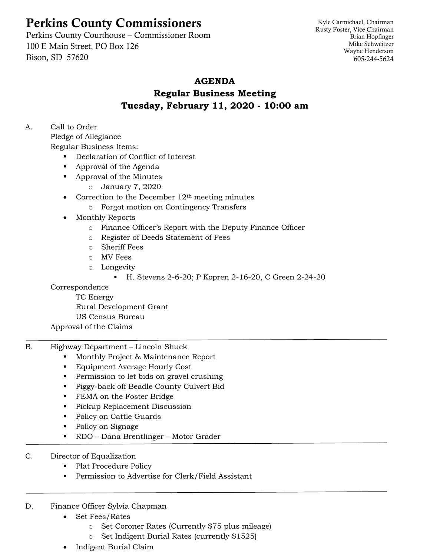# Perkins County Commissioners

Perkins County Courthouse – Commissioner Room 100 E Main Street, PO Box 126 Bison, SD 57620

Kyle Carmichael, Chairman Rusty Foster, Vice Chairman Brian Hopfinger Mike Schweitzer Wayne Henderson 605-244-5624

## **AGENDA**

# **Regular Business Meeting Tuesday, February 11, 2020 - 10:00 am**

A. Call to Order

Pledge of Allegiance

Regular Business Items:

- Declaration of Conflict of Interest
- Approval of the Agenda
- Approval of the Minutes
	- o January 7, 2020
- Correction to the December  $12<sup>th</sup>$  meeting minutes
	- o Forgot motion on Contingency Transfers
- Monthly Reports
	- o Finance Officer's Report with the Deputy Finance Officer
	- o Register of Deeds Statement of Fees
	- o Sheriff Fees
	- o MV Fees
	- o Longevity
		- H. Stevens 2-6-20; P Kopren 2-16-20, C Green 2-24-20

Correspondence

TC Energy Rural Development Grant US Census Bureau

Approval of the Claims

- B. Highway Department Lincoln Shuck
	- Monthly Project & Maintenance Report
	- **Equipment Average Hourly Cost**
	- **•** Permission to let bids on gravel crushing
	- Piggy-back off Beadle County Culvert Bid
	- **FEMA on the Foster Bridge**
	- **•** Pickup Replacement Discussion
	- Policy on Cattle Guards
	- Policy on Signage
	- RDO Dana Brentlinger Motor Grader
- C. Director of Equalization
	- Plat Procedure Policy
	- Permission to Advertise for Clerk/Field Assistant

### D. Finance Officer Sylvia Chapman

- Set Fees/Rates
	- o Set Coroner Rates (Currently \$75 plus mileage)
	- o Set Indigent Burial Rates (currently \$1525)
- Indigent Burial Claim